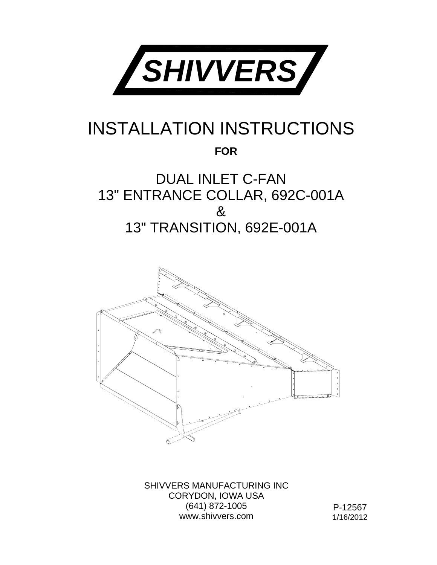

#### INSTALLATION INSTRUCTIONS

**FOR**

#### DUAL INLET C-FAN 13" ENTRANCE COLLAR, 692C-001A & 13" TRANSITION, 692E-001A



SHIVVERS MANUFACTURING INC CORYDON, IOWA USA (641) 872-1005 www.shivvers.com

P-12567 1/16/2012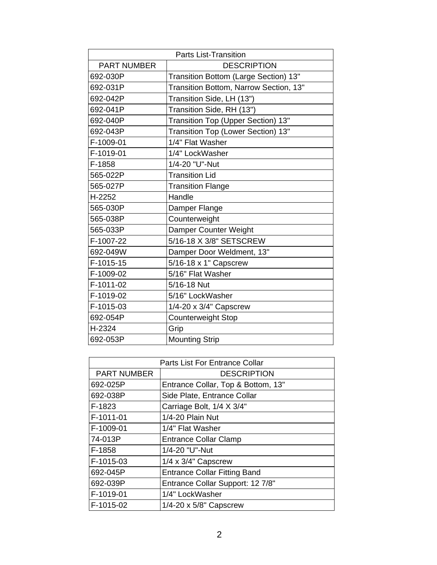| <b>Parts List-Transition</b> |                                        |
|------------------------------|----------------------------------------|
| <b>PART NUMBER</b>           | <b>DESCRIPTION</b>                     |
| 692-030P                     | Transition Bottom (Large Section) 13"  |
| 692-031P                     | Transition Bottom, Narrow Section, 13" |
| 692-042P                     | Transition Side, LH (13")              |
| 692-041P                     | Transition Side, RH (13")              |
| 692-040P                     | Transition Top (Upper Section) 13"     |
| 692-043P                     | Transition Top (Lower Section) 13"     |
| F-1009-01                    | 1/4" Flat Washer                       |
| F-1019-01                    | 1/4" LockWasher                        |
| F-1858                       | 1/4-20 "U"-Nut                         |
| 565-022P                     | <b>Transition Lid</b>                  |
| 565-027P                     | <b>Transition Flange</b>               |
| H-2252                       | Handle                                 |
| 565-030P                     | Damper Flange                          |
| 565-038P                     | Counterweight                          |
| 565-033P                     | Damper Counter Weight                  |
| F-1007-22                    | 5/16-18 X 3/8" SETSCREW                |
| 692-049W                     | Damper Door Weldment, 13"              |
| F-1015-15                    | 5/16-18 x 1" Capscrew                  |
| F-1009-02                    | 5/16" Flat Washer                      |
| F-1011-02                    | 5/16-18 Nut                            |
| F-1019-02                    | 5/16" LockWasher                       |
| F-1015-03                    | 1/4-20 x 3/4" Capscrew                 |
| 692-054P                     | <b>Counterweight Stop</b>              |
| H-2324                       | Grip                                   |
| 692-053P                     | <b>Mounting Strip</b>                  |

| Parts List For Entrance Collar |                                     |
|--------------------------------|-------------------------------------|
| <b>PART NUMBER</b>             | <b>DESCRIPTION</b>                  |
| 692-025P                       | Entrance Collar, Top & Bottom, 13"  |
| 692-038P                       | Side Plate, Entrance Collar         |
| F-1823                         | Carriage Bolt, 1/4 X 3/4"           |
| F-1011-01                      | 1/4-20 Plain Nut                    |
| F-1009-01                      | 1/4" Flat Washer                    |
| 74-013P                        | <b>Entrance Collar Clamp</b>        |
| F-1858                         | 1/4-20 "U"-Nut                      |
| F-1015-03                      | $1/4 \times 3/4$ " Capscrew         |
| 692-045P                       | <b>Entrance Collar Fitting Band</b> |
| 692-039P                       | Entrance Collar Support: 12 7/8"    |
| F-1019-01                      | 1/4" LockWasher                     |
| F-1015-02                      | $1/4 - 20 \times 5/8$ " Capscrew    |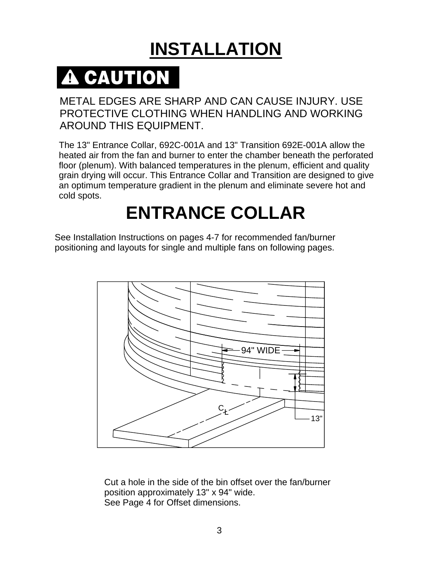## **INSTALLATION**

# **A CAUTION**

#### METAL EDGES ARE SHARP AND CAN CAUSE INJURY. USE PROTECTIVE CLOTHING WHEN HANDLING AND WORKING AROUND THIS EQUIPMENT.

The 13" Entrance Collar, 692C-001A and 13" Transition 692E-001A allow the heated air from the fan and burner to enter the chamber beneath the perforated floor (plenum). With balanced temperatures in the plenum, efficient and quality grain drying will occur. This Entrance Collar and Transition are designed to give an optimum temperature gradient in the plenum and eliminate severe hot and cold spots.

### **ENTRANCE COLLAR**

See Installation Instructions on pages 4-7 for recommended fan/burner positioning and layouts for single and multiple fans on following pages.



Cut a hole in the side of the bin offset over the fan/burner position approximately 13" x 94" wide. See Page 4 for Offset dimensions.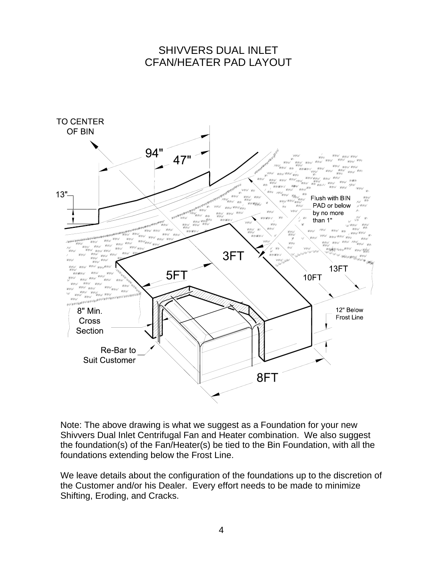#### SHIVVERS DUAL INLET CFAN/HEATER PAD LAYOUT



Note: The above drawing is what we suggest as a Foundation for your new Shivvers Dual Inlet Centrifugal Fan and Heater combination. We also suggest the foundation(s) of the Fan/Heater(s) be tied to the Bin Foundation, with all the foundations extending below the Frost Line.

We leave details about the configuration of the foundations up to the discretion of the Customer and/or his Dealer. Every effort needs to be made to minimize Shifting, Eroding, and Cracks.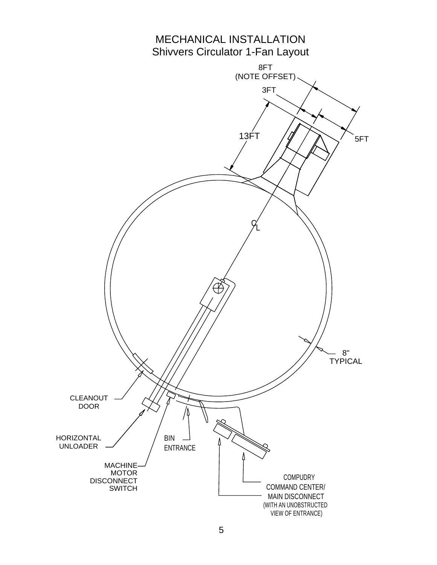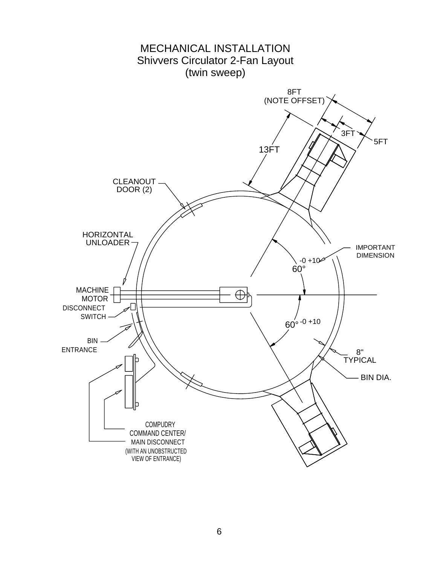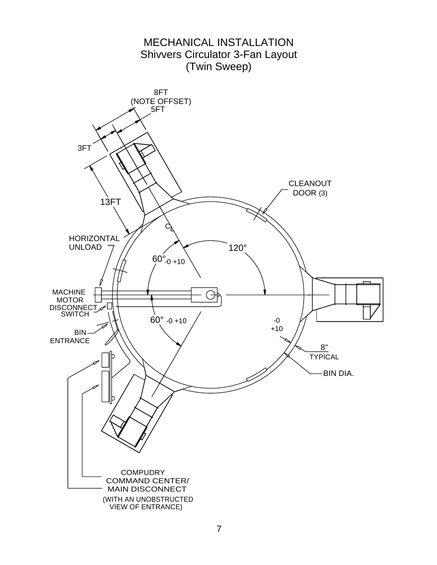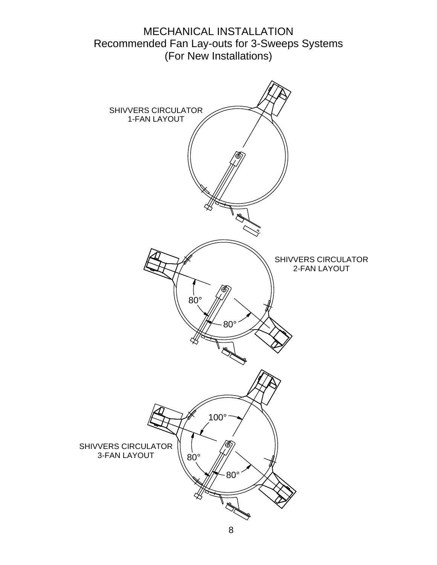#### MECHANICAL INSTALLATION Recommended Fan Lay-outs for 3-Sweeps Systems (For New Installations)

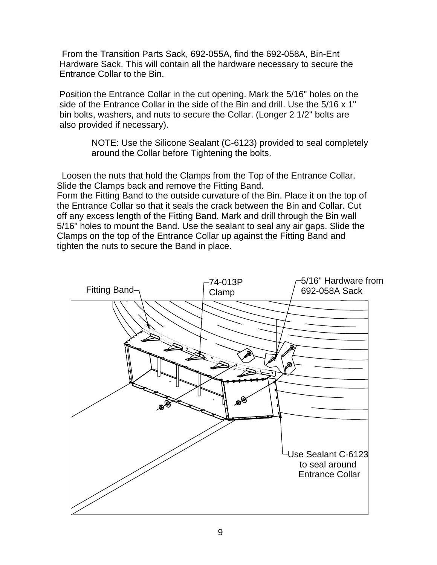From the Transition Parts Sack, 692-055A, find the 692-058A, Bin-Ent Hardware Sack. This will contain all the hardware necessary to secure the Entrance Collar to the Bin.

Position the Entrance Collar in the cut opening. Mark the 5/16" holes on the side of the Entrance Collar in the side of the Bin and drill. Use the 5/16 x 1" bin bolts, washers, and nuts to secure the Collar. (Longer 2 1/2" bolts are also provided if necessary).

> NOTE: Use the Silicone Sealant (C-6123) provided to seal completely around the Collar before Tightening the bolts.

 Loosen the nuts that hold the Clamps from the Top of the Entrance Collar. Slide the Clamps back and remove the Fitting Band.

Form the Fitting Band to the outside curvature of the Bin. Place it on the top of the Entrance Collar so that it seals the crack between the Bin and Collar. Cut off any excess length of the Fitting Band. Mark and drill through the Bin wall 5/16" holes to mount the Band. Use the sealant to seal any air gaps. Slide the Clamps on the top of the Entrance Collar up against the Fitting Band and tighten the nuts to secure the Band in place.

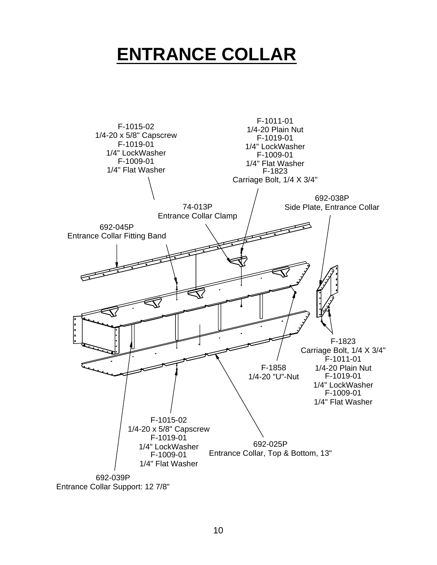### **ENTRANCE COLLAR**

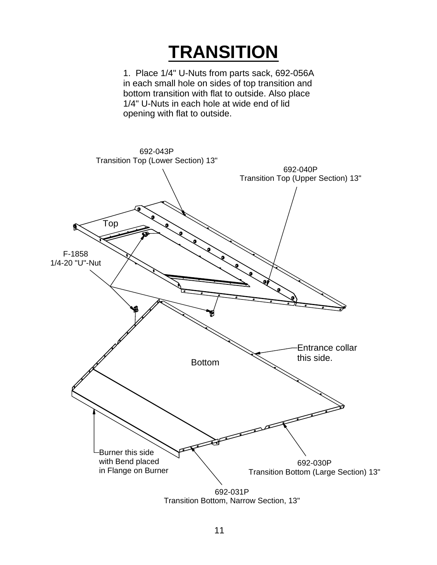### **TRANSITION**

1. Place 1/4" U-Nuts from parts sack, 692-056A in each small hole on sides of top transition and bottom transition with flat to outside. Also place 1/4" U-Nuts in each hole at wide end of lid opening with flat to outside.

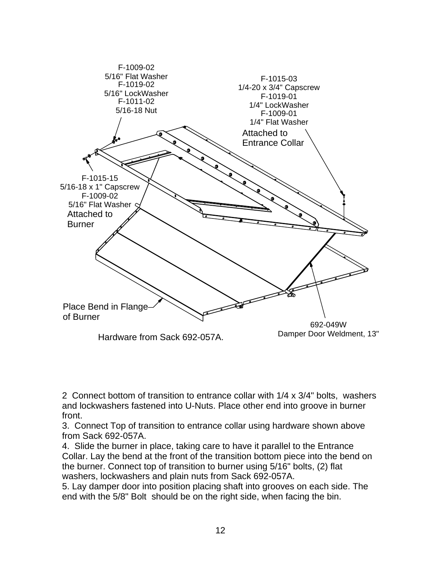

2 Connect bottom of transition to entrance collar with 1/4 x 3/4" bolts, washers and lockwashers fastened into U-Nuts. Place other end into groove in burner front.

3. Connect Top of transition to entrance collar using hardware shown above from Sack 692-057A.

4. Slide the burner in place, taking care to have it parallel to the Entrance Collar. Lay the bend at the front of the transition bottom piece into the bend on the burner. Connect top of transition to burner using 5/16" bolts, (2) flat washers, lockwashers and plain nuts from Sack 692-057A.

5. Lay damper door into position placing shaft into grooves on each side. The end with the 5/8" Bolt should be on the right side, when facing the bin.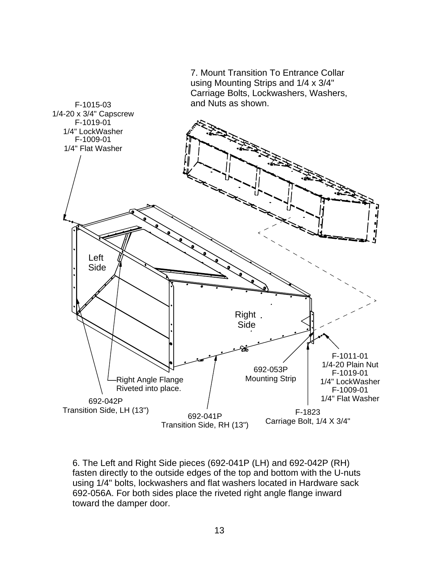

6. The Left and Right Side pieces (692-041P (LH) and 692-042P (RH) fasten directly to the outside edges of the top and bottom with the U-nuts using 1/4" bolts, lockwashers and flat washers located in Hardware sack 692-056A. For both sides place the riveted right angle flange inward toward the damper door.